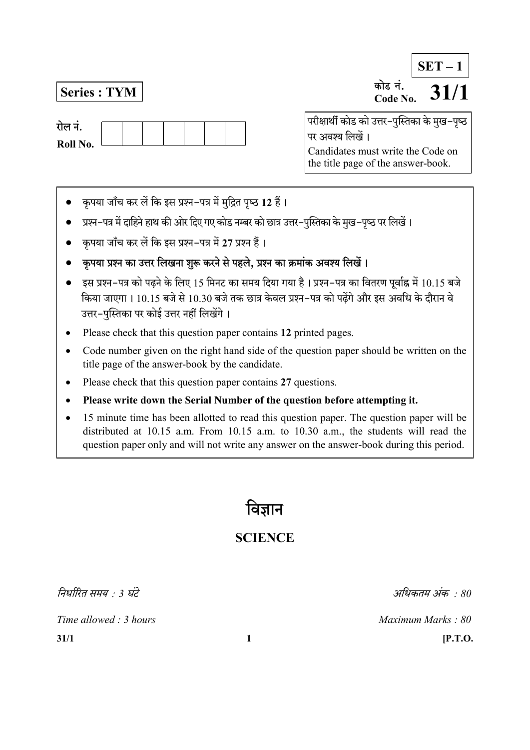रोल नं. Roll No.

 $\overline{\text{Series}: \text{TYM}}$  and  $\overline{\text{Case No}}$ .  $\overline{\text{31}}/1$ Code No.  $SET - 1$ 

> परीक्षार्थी कोड को उत्तर-पुस्तिका के मुख-पुष्ठ पर अवश्य लिखें। Candidates must write the Code on the title page of the answer-book.

- कृपया जाँच कर लें कि इस प्रश्न-पत्र में मुद्रित पृष्ठ 12 हैं।
- प्रश्न-पत्र में दाहिने हाथ की ओर दिए गए कोड नम्बर को छात्र उत्तर-पुस्तिका के मुख-पृष्ठ पर लिखें।
- कृपया जाँच कर लें कि इस प्रश्न-पत्र में 27 प्रश्न हैं।
- कुपया प्रश्न का उत्तर लिखना शुरू करने से पहले, प्रश्न का क्रमांक अवश्य लिखें।
- इस प्रश्न-पत्र को पढने के लिए 15 मिनट का समय दिया गया है। प्रश्न-पत्र का वितरण पर्वाह्न में 10.15 बजे किया जाएगा। 10.15 बजे से 10.30 बजे तक छात्र केवल प्रश्न–पत्र को पढेंगे और इस अवधि के दौरान वे उत्तर-पुस्तिका पर कोई उत्तर नहीं लिखेंगे।
- Please check that this question paper contains 12 printed pages.
- Code number given on the right hand side of the question paper should be written on the title page of the answer-book by the candidate.
- Please check that this question paper contains 27 questions.
- Please write down the Serial Number of the question before attempting it.
- 15 minute time has been allotted to read this question paper. The question paper will be distributed at 10.15 a.m. From 10.15 a.m. to 10.30 a.m., the students will read the question paper only and will not write any answer on the answer-book during this period.

विज्ञान

# **SCIENCE**

निर्धारित समय  $\cdot$  3 घंटे $\cdot$  30  $\cdot$  30  $\cdot$  30  $\cdot$  30  $\cdot$  30  $\cdot$  30  $\cdot$  30  $\cdot$  30  $\cdot$  30  $\cdot$  30  $\cdot$  30  $\cdot$  30  $\cdot$  30  $\cdot$  30  $\cdot$  30  $\cdot$  30  $\cdot$  30  $\cdot$  30  $\cdot$  30  $\cdot$  30  $\cdot$  30  $\cdot$  30  $\cdot$  30  $\cdot$  30  $\cdot$ 

Time allowed : 3 hours Maximum Marks : 80

 $31/1$  [P.T.O.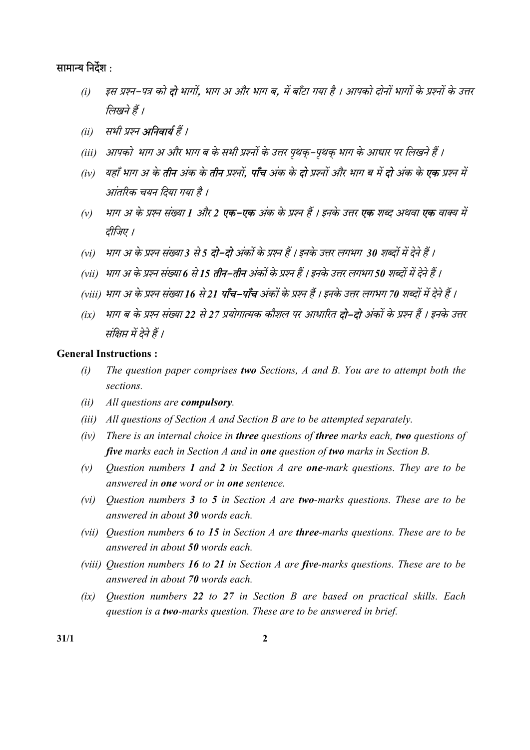## सामान्य निर्देश :

- (i) इस प्रश्न-पत्र को **दो** भागों, भाग अ और भाग ब, में बाँटा गया है । आपको दोनों भागों के प्रश्नों के उत्तर लिखने हैं ।
- (ii) सभी प्रश्न **अनिवार्य** हैं ।
- (iii) आपको भाग अ और भाग ब के सभी प्रश्नों के उत्तर पृथक्-पृथक् भाग के आधार पर लिखने हैं ।
- (iv) यहाँ भाग अ के **तीन** अंक के **तीन** प्रश्नों, **पाँच** अंक के **दो** प्रश्नों और भाग ब में **दो** अंक के **एक** प्रश्न में आंतरिक चयन दिया गया है ।
- (v) भाग अ के प्रश्न संख्या 1 और 2 **एक–एक** अंक के प्रश्न हैं । इनके उत्तर **एक** शब्द अथवा **एक** वाक्य में तीजिए ।
- (vi) भाग अ के प्रश्न संख्या 3 से 5 **दो–दो** अंकों के प्रश्न हैं । इनके उत्तर लगभग 30 शब्दों में देने हैं ।
- (vii) भाग अ के प्रश्न संख्या 6 से 15 **तीन–तीन** अंकों के प्रश्न हैं । इनके उत्तर लगभग 50 शब्दों में देने हैं ।
- (viii) भाग अ के प्रश्न संख्या 16 से 21 **पाँच–पाँच** अंकों के प्रश्न हैं । इनके उत्तर लगभग 70 शब्दों में देने हैं ।
- (ix) भाग ब के प्रश्न संख्या 22 से 27 प्रयोगात्मक कौशल पर आधारित **दो–दो** अंकों के प्रश्न हैं । इनके उत्तर संक्षिप्त में देने हैं ।

#### General Instructions :

- $(i)$  The question paper comprises two Sections, A and B. You are to attempt both the sections.
- (ii) All questions are compulsory.
- (iii) All questions of Section A and Section B are to be attempted separately.
- $(iv)$  There is an internal choice in three questions of three marks each, two questions of five marks each in Section  $A$  and in one question of two marks in Section  $B$ .
- (v) Ouestion numbers 1 and 2 in Section A are **one-**mark questions. They are to be answered in one word or in one sentence.
- (vi) Ouestion numbers 3 to 5 in Section A are two-marks questions. These are to be answered in about 30 words each.
- (vii) Ouestion numbers  $6$  to 15 in Section A are three-marks questions. These are to be answered in about 50 words each.
- (viii) Question numbers 16 to 21 in Section A are five-marks questions. These are to be answered in about 70 words each.
- (ix) Question numbers 22 to 27 in Section B are based on practical skills. Each question is a two-marks question. These are to be answered in brief.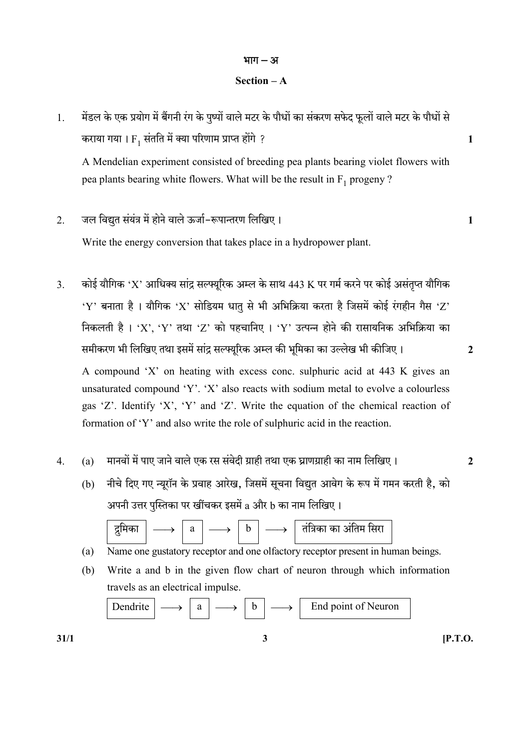# भाग $-31$

### Section – A

1. मेंडल के एक प्रयोग में बैंगनी रंग के पुष्पों वाले मटर के पौधों का संकरण सफेद फूलों वाले मटर के पौधों से कराया गया ।  $\mathrm{F_{1}}$  संतति में क्या परिणाम प्राप्त होंगे ?  $1$ 

A Mendelian experiment consisted of breeding pea plants bearing violet flowers with pea plants bearing white flowers. What will be the result in  $F_1$  progeny ?

2. - 1

Write the energy conversion that takes place in a hydropower plant.

- 3. कोई यौगिक 'X' आधिक्य सांद्र सल्फ्यूरिक अम्ल के साथ 443 K पर गर्म करने पर कोई असंतृप्त यौगिक 'Y' बनाता है । यौगिक 'X' सोडियम धातु से भी अभिक्रिया करता है जिसमें कोई रंगहीन गैस 'Z' निकलती है। 'X', 'Y' तथा 'Z' को पहचानिए। 'Y' उत्पन्न होने की रासायनिक अभिक्रिया का समीकरण भी लिखिए तथा इसमें सांद्र सल्फ्यूरिक अम्ल की भूमिका का उल्लेख भी कीजिए। 2 A compound 'X' on heating with excess conc. sulphuric acid at 443 K gives an unsaturated compound 'Y'. 'X' also reacts with sodium metal to evolve a colourless gas 'Z'. Identify 'X', 'Y' and 'Z'. Write the equation of the chemical reaction of formation of 'Y' and also write the role of sulphuric acid in the reaction.
- 4.  $\quad$  (a)  $\quad$  मानवों में पाए जाने वाले एक रस संवेदी ग्राही तथा एक घ्राणग्राही का नाम लिखिए।  $\quad$ 
	- (b) नीचे दिए गए न्यूरॉन के प्रवाह आरेख. जिसमें सूचना विद्युत आवेग के रूप में गमन करती है. को अपनी उत्तर पुस्तिका पर खींचकर इसमें a और b का नाम लिखिए।



- (a) Name one gustatory receptor and one olfactory receptor present in human beings.
- (b) Write a and b in the given flow chart of neuron through which information travels as an electrical impulse.

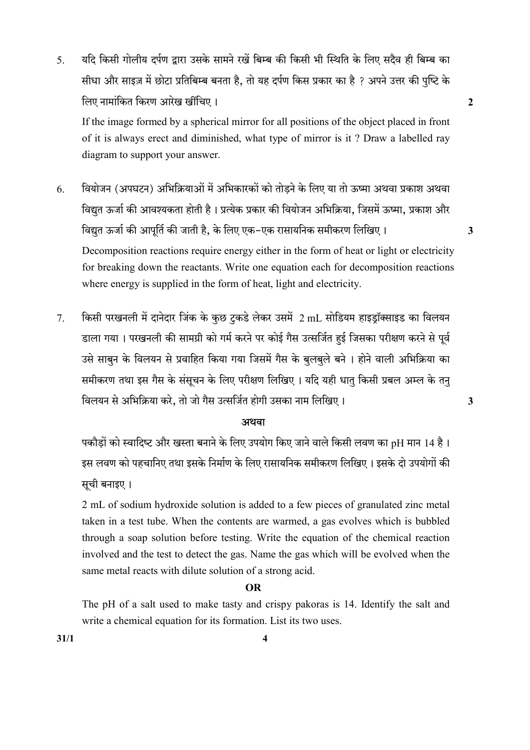5. यदि किसी गोलीय दर्पण द्वारा उसके सामने रखें बिम्ब की किसी भी स्थिति के लिए सदैव ही बिम्ब का सीधा और साइज़ में छोटा प्रतिबिम्ब बनता है, तो यह दर्पण किस प्रकार का है ? अपने उत्तर की पुष्टि के लिए नामांकित किरण आरेख खींचिए । स्वास्थ्य काल काल काल काल काल काल करने हैं कि उसके प्रशासन के बाद प्रशासन के ब

If the image formed by a spherical mirror for all positions of the object placed in front of it is always erect and diminished, what type of mirror is it ? Draw a labelled ray diagram to support your answer.

- 6. वियोजन (अपघटन) अभिक्रियाओं में अभिकारकों को तोड़ने के लिए या तो ऊष्मा अथवा प्रकाश अथवा विद्युत ऊर्जा की आवश्यकता होती है। प्रत्येक प्रकार की वियोजन अभिक्रिया, जिसमें ऊष्मा, प्रकाश और विद्युत ऊर्जा की आपूर्ति की जाती है, के लिए एक-एक रासायनिक समीकरण लिखिए। 3 Decomposition reactions require energy either in the form of heat or light or electricity for breaking down the reactants. Write one equation each for decomposition reactions where energy is supplied in the form of heat, light and electricity.
- 7. किसी परखनली में दानेदार जिंक के कुछ टुकडे लेकर उसमें 2 mL सोडियम हाइड्रॉक्साइड का विलयन डाला गया। परखनली की सामग्री को गर्म करने पर कोई गैस उत्सर्जित हई जिसका परीक्षण करने से पूर्व उसे साबून के विलयन से प्रवाहित किया गया जिसमें गैस के बूलबूले बने । होने वाली अभिक्रिया का समीकरण तथा इस गैस के संसूचन के लिए परीक्षण लिखिए। यदि यही धात् किसी प्रबल अम्ल के तन् , 3

#### अथवा

पकौड़ों को स्वादिष्ट और खस्ता बनाने के लिए उपयोग किए जाने वाले किसी लवण का pH मान 14 है। इस लवण को पहचानिए तथा इसके निर्माण के लिए रासायनिक समीकरण लिखिए । इसके दो उपयोगों की सूची बनाइए।

2 mL of sodium hydroxide solution is added to a few pieces of granulated zinc metal taken in a test tube. When the contents are warmed, a gas evolves which is bubbled through a soap solution before testing. Write the equation of the chemical reaction involved and the test to detect the gas. Name the gas which will be evolved when the same metal reacts with dilute solution of a strong acid.

#### OR

 The pH of a salt used to make tasty and crispy pakoras is 14. Identify the salt and write a chemical equation for its formation. List its two uses.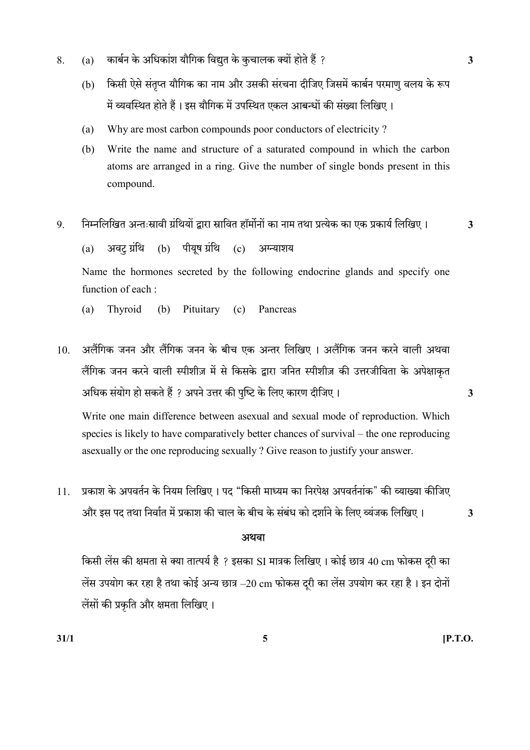- 8. (a) कार्बन के अधिकांश यौगिक विद्युत के कुचालक क्यों होते हैं ?
	- (b) किसी ऐसे संतुप्त यौगिक का नाम और उसकी संरचना दीजिए जिसमें कार्बन परमाण वलय के रूप में व्यवस्थित होते हैं। इस यौगिक में उपस्थित एकल आबन्धों की संख्या लिखिए।
	- (a) Why are most carbon compounds poor conductors of electricity ?
	- (b) Write the name and structure of a saturated compound in which the carbon atoms are arranged in a ring. Give the number of single bonds present in this compound.
- 9. निम्नलिखित अन्तःस्रावी ग्रंथियों द्वारा स्रावित हॉर्मोनों का नाम तथा प्रत्येक का एक प्रकार्य लिखिए। 3

 $(a)$  अवट ग्रंथि (b) पीयुष ग्रंथि (c) अग्न्याशय

Name the hormones secreted by the following endocrine glands and specify one function of each :

- (a) Thyroid (b) Pituitary (c) Pancreas
- 10. अलैंगिक जनन और लैंगिक जनन के बीच एक अन्तर लिखिए । अलैंगिक जनन करने वाली अथवा लैंगिक जनन करने वाली स्पीशीज़ में से किसके द्वारा जनित स्पीशीज़ की उत्तरजीविता के अपेक्षाकृत अधिक संयोग हो सकते हैं ? अपने उत्तर की पुष्टि के लिए कारण दीजिए।  $\,$

Write one main difference between asexual and sexual mode of reproduction. Which species is likely to have comparatively better chances of survival – the one reproducing asexually or the one reproducing sexually ? Give reason to justify your answer.

11. प्रकाश के अपवर्तन के नियम लिखिए । पद "किसी माध्यम का निरपेक्ष अपवर्तनांक" की व्याख्या कीजिए और इस पद तथा निर्वात में प्रकाश की चाल के बीच के संबंध को दर्शाने के लिए व्यंजक लिखिए। 3

# अथवा

किसी लेंस की क्षमता से क्या तात्पर्य है ? इसका SI मात्रक लिखिए। कोई छात्र 40 cm फोकस दूरी का लेंस उपयोग कर रहा है तथा कोई अन्य छात्र  $-20$  cm फोकस दूरी का लेंस उपयोग कर रहा है। इन दोनों लेंसों की प्रकृति और क्षमता लिखिए।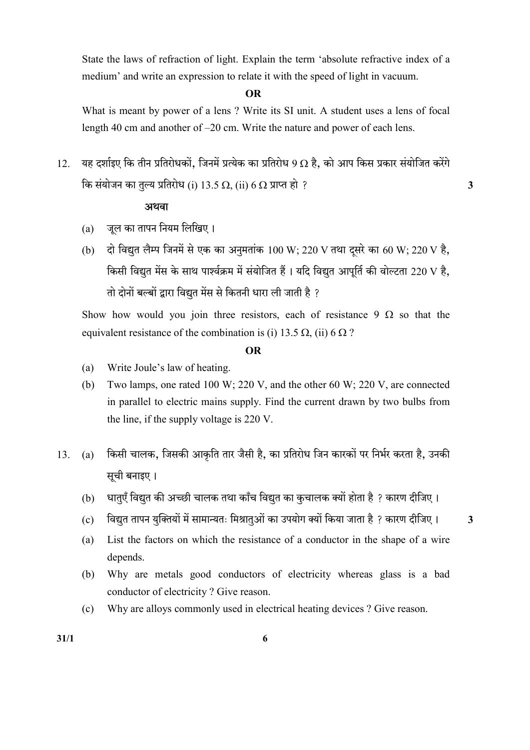State the laws of refraction of light. Explain the term 'absolute refractive index of a medium' and write an expression to relate it with the speed of light in vacuum.

#### OR

 What is meant by power of a lens ? Write its SI unit. A student uses a lens of focal length 40 cm and another of –20 cm. Write the nature and power of each lens.

12. यह दर्शाइए कि तीन प्रतिरोधकों, जिनमें प्रत्येक का प्रतिरोध 9 Ω है, को आप किस प्रकार संयोजित करेंगे कि संयोजन का तुल्य प्रतिरोध (i) 13.5  $\Omega$ , (ii) 6  $\Omega$  प्राप्त हो ?

### अथवा

- (a) जुल का तापन नियम लिखिए।
- (b) दो विद्युत लैम्प जिनमें से एक का अनुमतांक 100 W; 220 V तथा दूसरे का 60 W; 220 V है, किसी विद्युत मेंस के साथ पार्श्वक्रम में संयोजित हैं। यदि विद्युत आपूर्ति की वोल्टता 220 V है, <u>तो दोनों बल्बों द्वारा विद्यत मेंस से कितनी धारा ली जाती है ?</u>

Show how would you join three resistors, each of resistance 9  $\Omega$  so that the equivalent resistance of the combination is (i) 13.5  $\Omega$ , (ii) 6  $\Omega$ ?

#### OR

- (a) Write Joule's law of heating.
- (b) Two lamps, one rated 100 W; 220 V, and the other 60 W; 220 V, are connected in parallel to electric mains supply. Find the current drawn by two bulbs from the line, if the supply voltage is 220 V.
- 13. (a) किसी चालक, जिसकी आकृति तार जैसी है, का प्रतिरोध जिन कारकों पर निर्भर करता है, उनकी सूची बनाइए।
	- (b) धातुएँ विद्युत की अच्छी चालक तथा काँच विद्युत का कुचालक क्यों होता है ? कारण दीजिए।
	- (c) विद्युत तापन युक्तियों में सामान्यतः मिश्रातुओं का उपयोग क्यों किया जाता है ? कारण दीजिए ।  $\,$  3
	- (a) List the factors on which the resistance of a conductor in the shape of a wire depends.
	- (b) Why are metals good conductors of electricity whereas glass is a bad conductor of electricity ? Give reason.
	- (c) Why are alloys commonly used in electrical heating devices ? Give reason.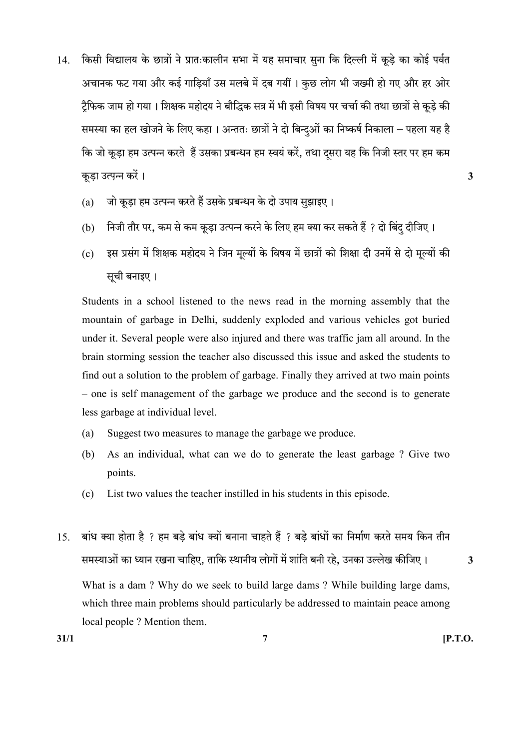14. किसी विद्यालय के छात्रों ने प्रातःकालीन सभा में यह समाचार सुना कि दिल्ली में कूड़े का कोई पर्वत अचानक फट गया और कई गाडियाँ उस मलबे में दब गयीं । कुछ लोग भी जख्मी हो गए और हर ओर ट्रैफिक जाम हो गया। शिक्षक महोदय ने बौद्धिक सत्र में भी इसी विषय पर चर्चा की तथा छात्रों से कूड़े की समस्या का हल खोजने के लिए कहा । अन्ततः छात्रों ने दो बिन्दुओं का निष्कर्ष निकाला – पहला यह है कि जो कड़ा हम उत्पन्न करते हैं उसका प्रबन्धन हम स्वयं करें. तथा दसरा यह कि निजी स्तर पर हम कम कड़ा उत्पन्न करें।  $\overline{3}$ 

- (a) जो कूड़ा हम उत्पन्न करते हैं उसके प्रबन्धन के दो उपाय सूझाइए।
- (b) निजी तौर पर, कम से कम कूड़ा उत्पन्न करने के लिए हम क्या कर सकते हैं ? दो बिंदु दीजिए।
- (c) इस प्रसंग में शिक्षक महोदय ने जिन मूल्यों के विषय में छात्रों को शिक्षा दी उनमें से दो मूल्यों की सूची बनाइए।

 Students in a school listened to the news read in the morning assembly that the mountain of garbage in Delhi, suddenly exploded and various vehicles got buried under it. Several people were also injured and there was traffic jam all around. In the brain storming session the teacher also discussed this issue and asked the students to find out a solution to the problem of garbage. Finally they arrived at two main points – one is self management of the garbage we produce and the second is to generate less garbage at individual level.

- (a) Suggest two measures to manage the garbage we produce.
- (b) As an individual, what can we do to generate the least garbage ? Give two points.
- (c) List two values the teacher instilled in his students in this episode.
- 15. बांध क्या होता है ? हम बड़े बांध क्यों बनाना चाहते हैं ? बड़े बांधों का निर्माण करते समय किन तीन , , 3 What is a dam ? Why do we seek to build large dams ? While building large dams, which three main problems should particularly be addressed to maintain peace among local people ? Mention them.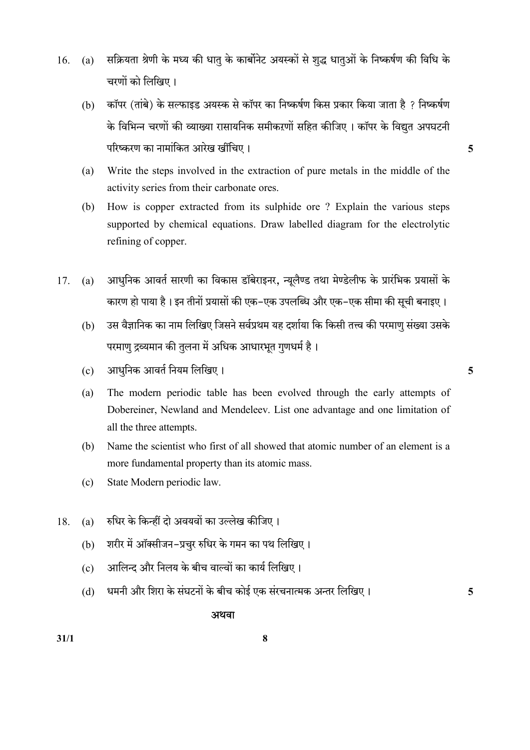- 16. (a) सक्रियता श्रेणी के मध्य की धातु के कार्बोनेट अयस्कों से शुद्ध धातुओं के निष्कर्षण की विधि के चरणों को लिखिए।
	- (b) कॉपर (तांबे) के सल्फाइड अयस्क से कॉपर का निष्कर्षण किस प्रकार किया जाता है ? निष्कर्षण के विभिन्न चरणों की व्याख्या रासायनिक समीकरणों सहित कीजिए । कॉपर के विद्युत अपघटनी 5
	- (a) Write the steps involved in the extraction of pure metals in the middle of the activity series from their carbonate ores.
	- (b) How is copper extracted from its sulphide ore ? Explain the various steps supported by chemical equations. Draw labelled diagram for the electrolytic refining of copper.
- 17. (a) आधुनिक आवर्त सारणी का विकास डॉबेराइनर, न्यूलैण्ड तथा मेण्डेलीफ के प्रारंभिक प्रयासों के कारण हो पाया है। इन तीनों प्रयासों की एक–एक उपलब्धि और एक–एक सीमा की सूची बनाइए।
	- (b) उस वैज्ञानिक का नाम लिखिए जिसने सर्वप्रथम यह दर्शाया कि किसी तत्त्व की परमाणु संख्या उसके परमाण् द्रव्यमान की तुलना में अधिक आधारभूत गुणधर्म है।
	- $\rm (c)$  3ााधुनिक आवर्त नियम लिखिए । संस्था कार्यक्रम करने के साथ प्रकाश कर उ
	- (a) The modern periodic table has been evolved through the early attempts of Dobereiner, Newland and Mendeleev. List one advantage and one limitation of all the three attempts.
	- (b) Name the scientist who first of all showed that atomic number of an element is a more fundamental property than its atomic mass.
	- (c) State Modern periodic law.
- 18. (a) रुधिर के किन्हीं दो अवयवों का उल्लेख कीजिए।
	- (b) शरीर में ऑक्सीजन-प्रचुर रुधिर के गमन का पथ लिखिए।
	- (c) आलिन्द और निलय के बीच वाल्वों का कार्य लिखिए।
	- (d) धमनी और शिरा के संघटनों के बीच कोई एक संरचनात्मक अन्तर लिखिए। 5

## <u>स्त्रीय संस्थानका अधिका अधिका</u>

 $31/1$  8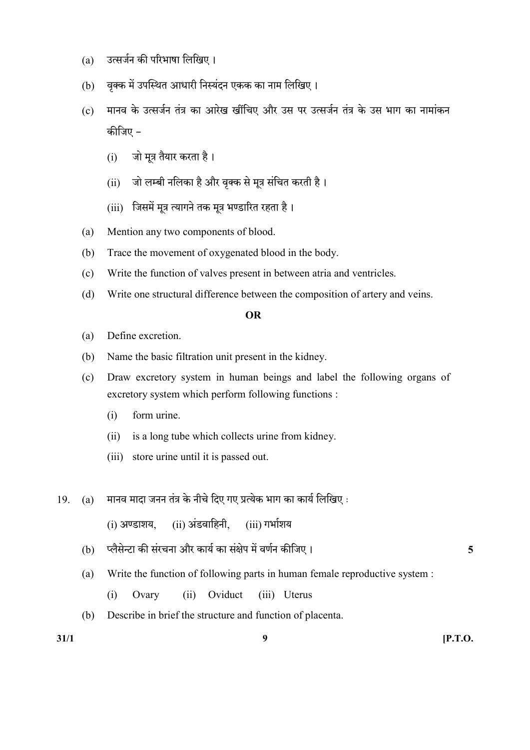- (a) उत्सर्जन की परिभाषा लिखिए।
- (b) वक्क में उपस्थित आधारी निस्यंदन एकक का नाम लिखिए।
- (c) मानव के उत्सर्जन तंत्र का आरेख खींचिए और उस पर उत्सर्जन तंत्र के उस भाग का नामांकन कीजिए –
	- (i) जो मुत्र तैयार करता है।
	- (ii) जो लम्बी नलिका है और वृक्क से मूत्र संचित करती है।
	- (iii) जिसमें मूत्र त्यागने तक मूत्र भण्डारित रहता है।
- (a) Mention any two components of blood.
- (b) Trace the movement of oxygenated blood in the body.
- (c) Write the function of valves present in between atria and ventricles.
- (d) Write one structural difference between the composition of artery and veins.

#### OR

- (a) Define excretion.
- (b) Name the basic filtration unit present in the kidney.
- (c) Draw excretory system in human beings and label the following organs of excretory system which perform following functions :
	- (i) form urine.
	- (ii) is a long tube which collects urine from kidney.
	- (iii) store urine until it is passed out.
- $19.$  (a) मानव मादा जनन तंत्र के नीचे दिए गए प्रत्येक भाग का कार्य लिखिए :
	- $(i)$  अण्डाशय.  $(ii)$  अंडवाहिनी.  $(iii)$  गर्भाशय
	- (b) 5
	- (a) Write the function of following parts in human female reproductive system :
		- (i) Ovary (ii) Oviduct (iii) Uterus
	- (b) Describe in brief the structure and function of placenta.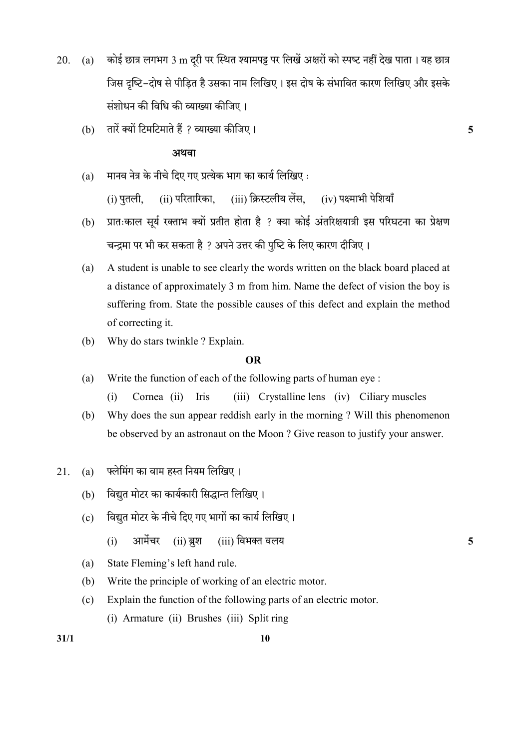- 20. (a) कोई छात्र लगभग 3 m दूरी पर स्थित श्यामपट्ट पर लिखें अक्षरों को स्पष्ट नहीं देख पाता । यह छात्र जिस दृष्टि-दोष से पीडित है उसका नाम लिखिए। इस दोष के संभावित कारण लिखिए और इसके संशोधन की विधि की व्याख्या कीजिए।
	- (b) तारें क्यों टिमटिमाते हैं ? व्याख्या कीजिए ।  $\overline{\phantom{a}}$

#### अथवा

- $(a)$  मानव नेत्र के नीचे दिए गए प्रत्येक भाग का कार्य लिखिए: (i) पतली. (ii) परितारिका. (iii) क्रिस्टलीय लेंस. (iv) पक्ष्माभी पेशियाँ
- (b) प्रातःकाल सूर्य रक्ताभ क्यों प्रतीत होता है ? क्या कोई अंतरिक्षयात्री इस परिघटना का प्रेक्षण चन्द्रमा पर भी कर सकता है ? अपने उत्तर की पृष्टि के लिए कारण दीजिए।
- (a) A student is unable to see clearly the words written on the black board placed at a distance of approximately 3 m from him. Name the defect of vision the boy is suffering from. State the possible causes of this defect and explain the method of correcting it.
- (b) Why do stars twinkle ? Explain.

#### OR

- (a) Write the function of each of the following parts of human eye :
	- (i) Cornea (ii) Iris (iii) Crystalline lens (iv) Ciliary muscles
- (b) Why does the sun appear reddish early in the morning ? Will this phenomenon be observed by an astronaut on the Moon ? Give reason to justify your answer.
- 21. (a) फ्लेमिंग का वाम हस्त नियम लिखिए।
	- (b) विद्युत मोटर का कार्यकारी सिद्धान्त लिखिए।
	- (c) विद्युत मोटर के नीचे दिए गए भागों का कार्य लिखिए।
		- (i) आर्मेचर (ii) ब्रश (iii) विभक्त वलय
	- (a) State Fleming's left hand rule.
	- (b) Write the principle of working of an electric motor.
	- (c) Explain the function of the following parts of an electric motor. (i) Armature (ii) Brushes (iii) Split ring

 $31/1$  10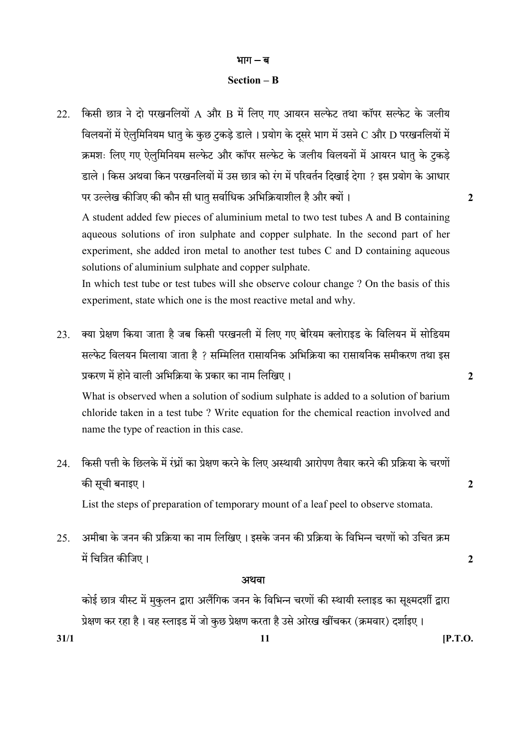#### भाग $-$ ब

#### Section – B

22. किसी छात्र ने दो परखनलियों A और B में लिए गए आयरन सल्फेट तथा कॉपर सल्फेट के जलीय विलयनों में ऐलुमिनियम धातु के कुछ टुकड़े डाले। प्रयोग के दूसरे भाग में उसने  $\boldsymbol{C}$  और  $\boldsymbol{D}$  परखनलियों में क्रमशः लिए गए ऐलुमिनियम सल्फेट और कॉपर सल्फेट के जलीय विलयनों में आयरन धातु के टुकड़े डाले। किस अथवा किन परखनलियों में उस छात्र को रंग में परिवर्तन दिखाई देगा ? इस प्रयोग के आधार पर उल्लेख कीजिए की कौन सी धात सर्वाधिक अभिक्रियाशील है और क्यों ।  $\,$ 

A student added few pieces of aluminium metal to two test tubes A and B containing aqueous solutions of iron sulphate and copper sulphate. In the second part of her experiment, she added iron metal to another test tubes C and D containing aqueous solutions of aluminium sulphate and copper sulphate.

 In which test tube or test tubes will she observe colour change ? On the basis of this experiment, state which one is the most reactive metal and why.

23. क्या प्रेक्षण किया जाता है जब किसी परखनली में लिए गए बेरियम क्लोराइड के विलियन में सोडियम सल्फेट विलयन मिलाया जाता है ? सम्मिलित रासायनिक अभिक्रिया का रासायनिक समीकरण तथा इस प्रकरण में होने वाली अभिक्रिया के प्रकार का नाम लिखिए। संस्था का साथ स्थान कर साथ स्थान कर स्था के

What is observed when a solution of sodium sulphate is added to a solution of barium chloride taken in a test tube ? Write equation for the chemical reaction involved and name the type of reaction in this case.

- 24. किसी पत्ती के छिलके में रंध्रों का प्रेक्षण करने के लिए अस्थायी आरोपण तैयार करने की प्रक्रिया के चरणों 2 List the steps of preparation of temporary mount of a leaf peel to observe stomata.
- 25. अमीबा के जनन की प्रक्रिया का नाम लिखिए। इसके जनन की प्रक्रिया के विभिन्न चरणों को उचित क्रम 2

#### अथवा

 $31/1$  [P.T.O. कोई छात्र यीस्ट में मुकुलन द्वारा अलैंगिक जनन के विभिन्न चरणों की स्थायी स्लाइड का सुक्ष्मदर्शी द्वारा .<br>प्रेक्षण कर रहा है। वह स्लाइड में जो कुछ प्रेक्षण करता है उसे ओरख खींचकर (क्रमवार) दर्शाइए।